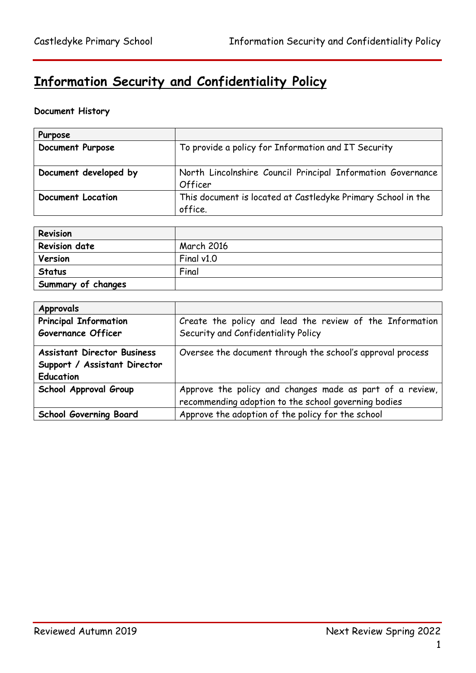# **Information Security and Confidentiality Policy**

# **Document History**

| Purpose                  |                                                              |
|--------------------------|--------------------------------------------------------------|
| <b>Document Purpose</b>  | To provide a policy for Information and IT Security          |
|                          |                                                              |
| Document developed by    | North Lincolnshire Council Principal Information Governance  |
|                          | Officer                                                      |
| <b>Document Location</b> | This document is located at Castledyke Primary School in the |
|                          | office.                                                      |

| Revision             |                   |
|----------------------|-------------------|
| <b>Revision date</b> | <b>March 2016</b> |
| Version              | Final $v1.0$      |
| <b>Status</b>        | Final             |
| Summary of changes   |                   |

| <b>Approvals</b>                   |                                                            |
|------------------------------------|------------------------------------------------------------|
| <b>Principal Information</b>       | Create the policy and lead the review of the Information   |
| <b>Governance Officer</b>          | Security and Confidentiality Policy                        |
| <b>Assistant Director Business</b> | Oversee the document through the school's approval process |
| Support / Assistant Director       |                                                            |
| <b>Education</b>                   |                                                            |
| School Approval Group              | Approve the policy and changes made as part of a review,   |
|                                    | recommending adoption to the school governing bodies       |
| <b>School Governing Board</b>      | Approve the adoption of the policy for the school          |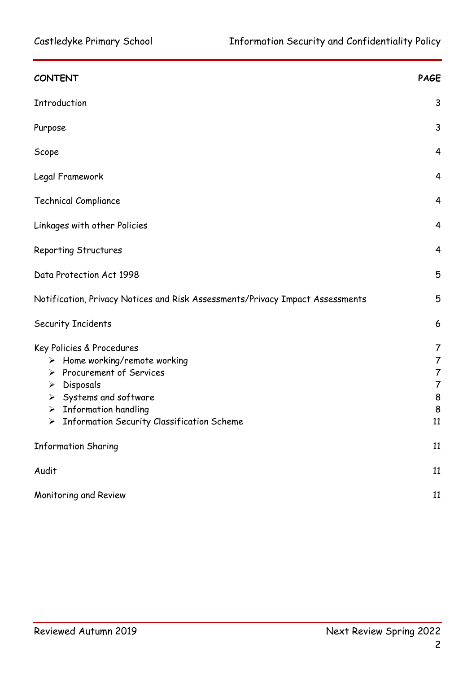| <b>CONTENT</b>                                                                                                                                                                                                                                                                   | <b>PAGE</b>                                                             |
|----------------------------------------------------------------------------------------------------------------------------------------------------------------------------------------------------------------------------------------------------------------------------------|-------------------------------------------------------------------------|
| Introduction                                                                                                                                                                                                                                                                     | 3                                                                       |
| Purpose                                                                                                                                                                                                                                                                          | 3                                                                       |
| Scope                                                                                                                                                                                                                                                                            | $\overline{4}$                                                          |
| Legal Framework                                                                                                                                                                                                                                                                  | 4                                                                       |
| <b>Technical Compliance</b>                                                                                                                                                                                                                                                      | $\overline{4}$                                                          |
| Linkages with other Policies                                                                                                                                                                                                                                                     | $\overline{4}$                                                          |
| Reporting Structures                                                                                                                                                                                                                                                             | $\overline{4}$                                                          |
| Data Protection Act 1998                                                                                                                                                                                                                                                         | 5                                                                       |
| Notification, Privacy Notices and Risk Assessments/Privacy Impact Assessments                                                                                                                                                                                                    | 5                                                                       |
| Security Incidents                                                                                                                                                                                                                                                               | 6                                                                       |
| Key Policies & Procedures<br>$\triangleright$ Home working/remote working<br>> Procurement of Services<br>$\triangleright$ Disposals<br>$\triangleright$ Systems and software<br>$\triangleright$ Information handling<br><b>Information Security Classification Scheme</b><br>➤ | 7<br>$\overline{7}$<br>$\overline{7}$<br>$\overline{7}$<br>8<br>8<br>11 |
| <b>Information Sharing</b>                                                                                                                                                                                                                                                       | 11                                                                      |
| Audit                                                                                                                                                                                                                                                                            | 11                                                                      |
| Monitoring and Review                                                                                                                                                                                                                                                            | 11                                                                      |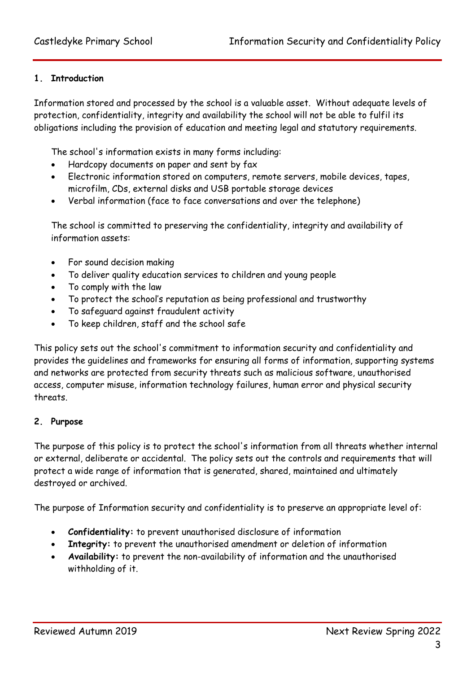### **1. Introduction**

Information stored and processed by the school is a valuable asset. Without adequate levels of protection, confidentiality, integrity and availability the school will not be able to fulfil its obligations including the provision of education and meeting legal and statutory requirements.

The school's information exists in many forms including:

- Hardcopy documents on paper and sent by fax
- Electronic information stored on computers, remote servers, mobile devices, tapes, microfilm, CDs, external disks and USB portable storage devices
- Verbal information (face to face conversations and over the telephone)

The school is committed to preserving the confidentiality, integrity and availability of information assets:

- For sound decision making
- To deliver quality education services to children and young people
- To comply with the law
- To protect the school's reputation as being professional and trustworthy
- To safeguard against fraudulent activity
- To keep children, staff and the school safe

This policy sets out the school's commitment to information security and confidentiality and provides the guidelines and frameworks for ensuring all forms of information, supporting systems and networks are protected from security threats such as malicious software, unauthorised access, computer misuse, information technology failures, human error and physical security threats.

#### **2. Purpose**

The purpose of this policy is to protect the school's information from all threats whether internal or external, deliberate or accidental. The policy sets out the controls and requirements that will protect a wide range of information that is generated, shared, maintained and ultimately destroyed or archived.

The purpose of Information security and confidentiality is to preserve an appropriate level of:

- **Confidentiality:** to prevent unauthorised disclosure of information
- **Integrity:** to prevent the unauthorised amendment or deletion of information
- **Availability:** to prevent the non-availability of information and the unauthorised withholding of it.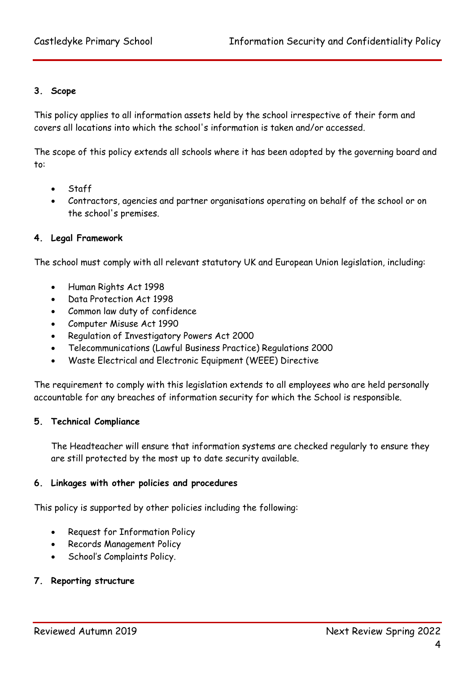#### **3. Scope**

This policy applies to all information assets held by the school irrespective of their form and covers all locations into which the school's information is taken and/or accessed.

The scope of this policy extends all schools where it has been adopted by the governing board and to:

- **Staff**
- Contractors, agencies and partner organisations operating on behalf of the school or on the school's premises.

#### **4. Legal Framework**

The school must comply with all relevant statutory UK and European Union legislation, including:

- Human Rights Act 1998
- Data Protection Act 1998
- Common law duty of confidence
- Computer Misuse Act 1990
- Regulation of Investigatory Powers Act 2000
- Telecommunications (Lawful Business Practice) Regulations 2000
- Waste Electrical and Electronic Equipment (WEEE) Directive

The requirement to comply with this legislation extends to all employees who are held personally accountable for any breaches of information security for which the School is responsible.

#### **5. Technical Compliance**

The Headteacher will ensure that information systems are checked regularly to ensure they are still protected by the most up to date security available.

#### **6. Linkages with other policies and procedures**

This policy is supported by other policies including the following:

- Request for Information Policy
- Records Management Policy
- School's Complaints Policy.

#### **7. Reporting structure**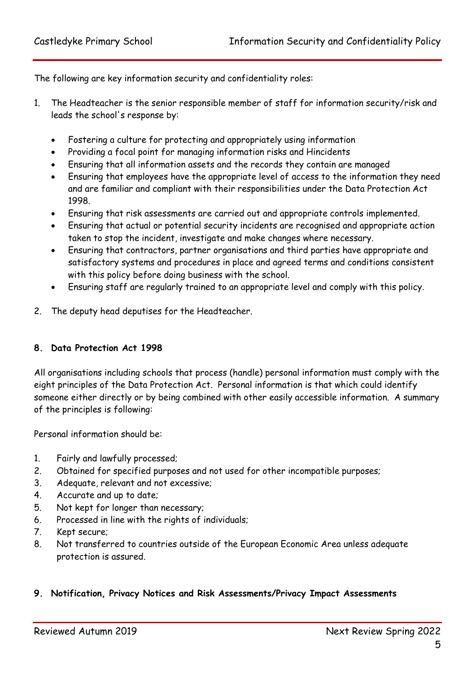The following are key information security and confidentiality roles:

- 1. The Headteacher is the senior responsible member of staff for information security/risk and leads the school's response by:
	- Fostering a culture for protecting and appropriately using information
	- Providing a focal point for managing information risks and Hincidents
	- Ensuring that all information assets and the records they contain are managed
	- Ensuring that employees have the appropriate level of access to the information they need and are familiar and compliant with their responsibilities under the Data Protection Act 1998.
	- Ensuring that risk assessments are carried out and appropriate controls implemented.
	- Ensuring that actual or potential security incidents are recognised and appropriate action taken to stop the incident, investigate and make changes where necessary.
	- Ensuring that contractors, partner organisations and third parties have appropriate and satisfactory systems and procedures in place and agreed terms and conditions consistent with this policy before doing business with the school.
	- Ensuring staff are regularly trained to an appropriate level and comply with this policy.
- 2. The deputy head deputises for the Headteacher.

#### **8. Data Protection Act 1998**

All organisations including schools that process (handle) personal information must comply with the eight principles of the Data Protection Act. Personal information is that which could identify someone either directly or by being combined with other easily accessible information. A summary of the principles is following:

Personal information should be:

- 1. Fairly and lawfully processed;
- 2. Obtained for specified purposes and not used for other incompatible purposes;
- 3. Adequate, relevant and not excessive;
- 4. Accurate and up to date;
- 5. Not kept for longer than necessary;
- 6. Processed in line with the rights of individuals;
- 7. Kept secure;
- 8. Not transferred to countries outside of the European Economic Area unless adequate protection is assured.

#### **9. Notification, Privacy Notices and Risk Assessments/Privacy Impact Assessments**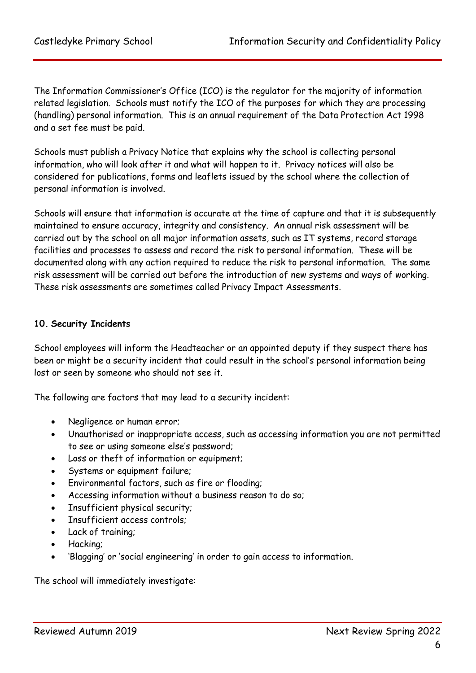The Information Commissioner's Office (ICO) is the regulator for the majority of information related legislation. Schools must notify the ICO of the purposes for which they are processing (handling) personal information. This is an annual requirement of the Data Protection Act 1998 and a set fee must be paid.

Schools must publish a Privacy Notice that explains why the school is collecting personal information, who will look after it and what will happen to it. Privacy notices will also be considered for publications, forms and leaflets issued by the school where the collection of personal information is involved.

Schools will ensure that information is accurate at the time of capture and that it is subsequently maintained to ensure accuracy, integrity and consistency. An annual risk assessment will be carried out by the school on all major information assets, such as IT systems, record storage facilities and processes to assess and record the risk to personal information. These will be documented along with any action required to reduce the risk to personal information. The same risk assessment will be carried out before the introduction of new systems and ways of working. These risk assessments are sometimes called Privacy Impact Assessments.

# **10. Security Incidents**

School employees will inform the Headteacher or an appointed deputy if they suspect there has been or might be a security incident that could result in the school's personal information being lost or seen by someone who should not see it.

The following are factors that may lead to a security incident:

- Negligence or human error;
- Unauthorised or inappropriate access, such as accessing information you are not permitted to see or using someone else's password;
- Loss or theft of information or equipment;
- Systems or equipment failure;
- Environmental factors, such as fire or flooding;
- Accessing information without a business reason to do so;
- Insufficient physical security;
- Insufficient access controls;
- Lack of training;
- Hacking;
- 'Blagging' or 'social engineering' in order to gain access to information.

The school will immediately investigate: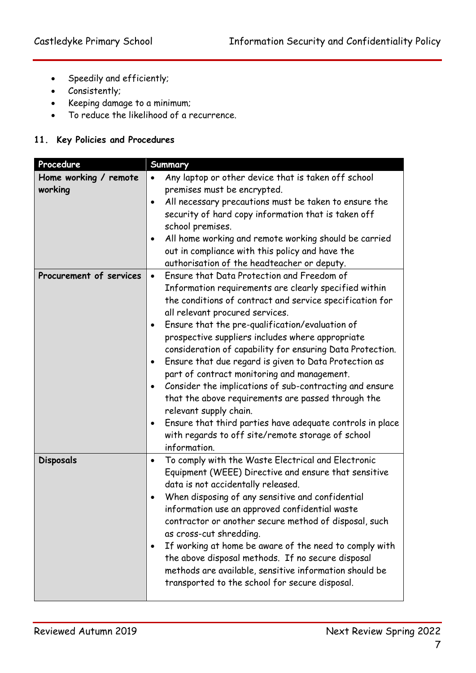- Speedily and efficiently;
- Consistently;
- Keeping damage to a minimum;
- To reduce the likelihood of a recurrence.

# **11. Key Policies and Procedures**

| Procedure               | <b>Summary</b>                                                         |
|-------------------------|------------------------------------------------------------------------|
| Home working / remote   | Any laptop or other device that is taken off school<br>$\bullet$       |
| working                 | premises must be encrypted.                                            |
|                         | All necessary precautions must be taken to ensure the<br>$\bullet$     |
|                         | security of hard copy information that is taken off                    |
|                         | school premises.                                                       |
|                         | All home working and remote working should be carried<br>$\bullet$     |
|                         | out in compliance with this policy and have the                        |
|                         | authorisation of the headteacher or deputy.                            |
| Procurement of services | Ensure that Data Protection and Freedom of<br>$\bullet$                |
|                         | Information requirements are clearly specified within                  |
|                         | the conditions of contract and service specification for               |
|                         | all relevant procured services.                                        |
|                         | Ensure that the pre-qualification/evaluation of<br>٠                   |
|                         | prospective suppliers includes where appropriate                       |
|                         | consideration of capability for ensuring Data Protection.              |
|                         | Ensure that due regard is given to Data Protection as<br>$\bullet$     |
|                         | part of contract monitoring and management.                            |
|                         | Consider the implications of sub-contracting and ensure<br>$\bullet$   |
|                         | that the above requirements are passed through the                     |
|                         | relevant supply chain.                                                 |
|                         | Ensure that third parties have adequate controls in place<br>$\bullet$ |
|                         | with regards to off site/remote storage of school                      |
|                         | information.                                                           |
| <b>Disposals</b>        | To comply with the Waste Electrical and Electronic<br>$\bullet$        |
|                         | Equipment (WEEE) Directive and ensure that sensitive                   |
|                         | data is not accidentally released.                                     |
|                         | When disposing of any sensitive and confidential                       |
|                         | information use an approved confidential waste                         |
|                         | contractor or another secure method of disposal, such                  |
|                         | as cross-cut shredding.                                                |
|                         | If working at home be aware of the need to comply with<br>$\bullet$    |
|                         | the above disposal methods. If no secure disposal                      |
|                         | methods are available, sensitive information should be                 |
|                         | transported to the school for secure disposal.                         |
|                         |                                                                        |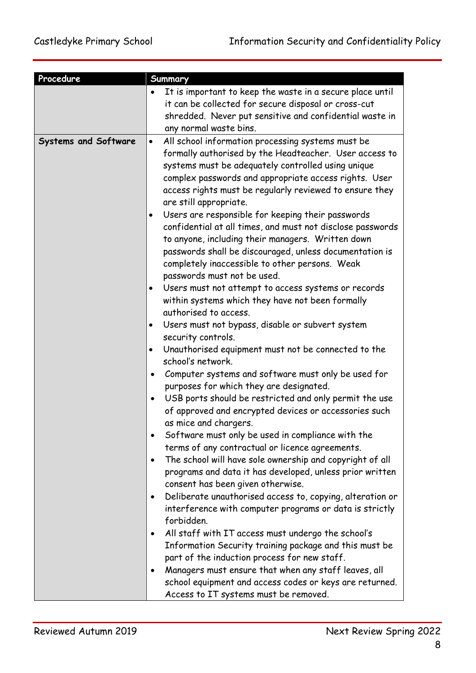| Procedure                   | Summary                                                               |
|-----------------------------|-----------------------------------------------------------------------|
|                             | It is important to keep the waste in a secure place until             |
|                             | it can be collected for secure disposal or cross-cut                  |
|                             | shredded. Never put sensitive and confidential waste in               |
|                             | any normal waste bins.                                                |
| <b>Systems and Software</b> | All school information processing systems must be<br>$\bullet$        |
|                             | formally authorised by the Headteacher. User access to                |
|                             | systems must be adequately controlled using unique                    |
|                             | complex passwords and appropriate access rights. User                 |
|                             | access rights must be regularly reviewed to ensure they               |
|                             | are still appropriate.                                                |
|                             | Users are responsible for keeping their passwords<br>٠                |
|                             | confidential at all times, and must not disclose passwords            |
|                             | to anyone, including their managers. Written down                     |
|                             | passwords shall be discouraged, unless documentation is               |
|                             | completely inaccessible to other persons. Weak                        |
|                             | passwords must not be used.                                           |
|                             | Users must not attempt to access systems or records<br>٠              |
|                             | within systems which they have not been formally                      |
|                             | authorised to access.                                                 |
|                             | Users must not bypass, disable or subvert system<br>٠                 |
|                             | security controls.                                                    |
|                             | Unauthorised equipment must not be connected to the<br>$\bullet$      |
|                             | school's network.                                                     |
|                             | Computer systems and software must only be used for<br>$\bullet$      |
|                             | purposes for which they are designated.                               |
|                             | USB ports should be restricted and only permit the use<br>$\bullet$   |
|                             | of approved and encrypted devices or accessories such                 |
|                             | as mice and chargers.                                                 |
|                             | Software must only be used in compliance with the                     |
|                             | terms of any contractual or licence agreements.                       |
|                             | The school will have sole ownership and copyright of all<br>$\bullet$ |
|                             | programs and data it has developed, unless prior written              |
|                             | consent has been given otherwise.                                     |
|                             | Deliberate unauthorised access to, copying, alteration or<br>٠        |
|                             | interference with computer programs or data is strictly               |
|                             | forbidden.                                                            |
|                             | All staff with IT access must undergo the school's<br>$\bullet$       |
|                             | Information Security training package and this must be                |
|                             | part of the induction process for new staff.                          |
|                             | Managers must ensure that when any staff leaves, all                  |
|                             | school equipment and access codes or keys are returned.               |
|                             | Access to IT systems must be removed.                                 |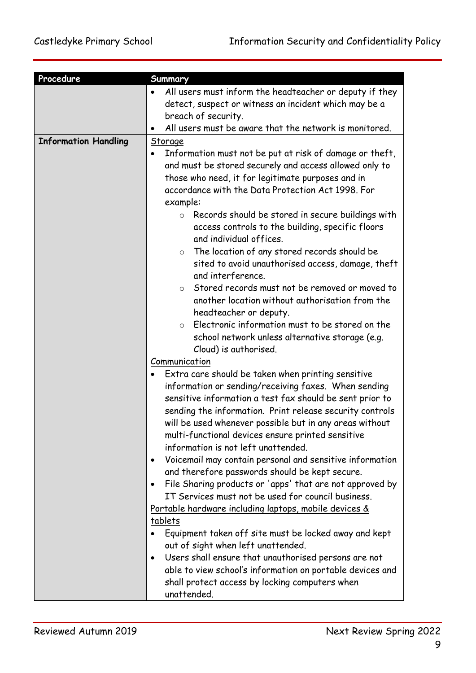| Procedure                   | Summary                                                                                  |
|-----------------------------|------------------------------------------------------------------------------------------|
|                             | All users must inform the headteacher or deputy if they                                  |
|                             | detect, suspect or witness an incident which may be a                                    |
|                             | breach of security.                                                                      |
|                             | All users must be aware that the network is monitored.                                   |
| <b>Information Handling</b> | Storage                                                                                  |
|                             | Information must not be put at risk of damage or theft,                                  |
|                             | and must be stored securely and access allowed only to                                   |
|                             | those who need, it for legitimate purposes and in                                        |
|                             | accordance with the Data Protection Act 1998. For                                        |
|                             | example:                                                                                 |
|                             | Records should be stored in secure buildings with<br>$\circ$                             |
|                             | access controls to the building, specific floors                                         |
|                             | and individual offices.                                                                  |
|                             | The location of any stored records should be<br>$\circ$                                  |
|                             | sited to avoid unauthorised access, damage, theft                                        |
|                             | and interference.                                                                        |
|                             | Stored records must not be removed or moved to<br>$\circ$                                |
|                             | another location without authorisation from the                                          |
|                             | headteacher or deputy.                                                                   |
|                             | Electronic information must to be stored on the<br>$\circ$                               |
|                             | school network unless alternative storage (e.g.                                          |
|                             | Cloud) is authorised.                                                                    |
|                             | Communication                                                                            |
|                             | Extra care should be taken when printing sensitive                                       |
|                             | information or sending/receiving faxes. When sending                                     |
|                             | sensitive information a test fax should be sent prior to                                 |
|                             | sending the information. Print release security controls                                 |
|                             | will be used whenever possible but in any areas without                                  |
|                             | multi-functional devices ensure printed sensitive<br>information is not left unattended. |
|                             | Voicemail may contain personal and sensitive information                                 |
|                             | and therefore passwords should be kept secure.                                           |
|                             | File Sharing products or 'apps' that are not approved by<br>٠                            |
|                             | IT Services must not be used for council business.                                       |
|                             | <u>Portable hardware including laptops, mobile devices &amp;</u>                         |
|                             | tablets                                                                                  |
|                             | Equipment taken off site must be locked away and kept                                    |
|                             | out of sight when left unattended.                                                       |
|                             | Users shall ensure that unauthorised persons are not<br>$\bullet$                        |
|                             | able to view school's information on portable devices and                                |
|                             | shall protect access by locking computers when                                           |
|                             | unattended.                                                                              |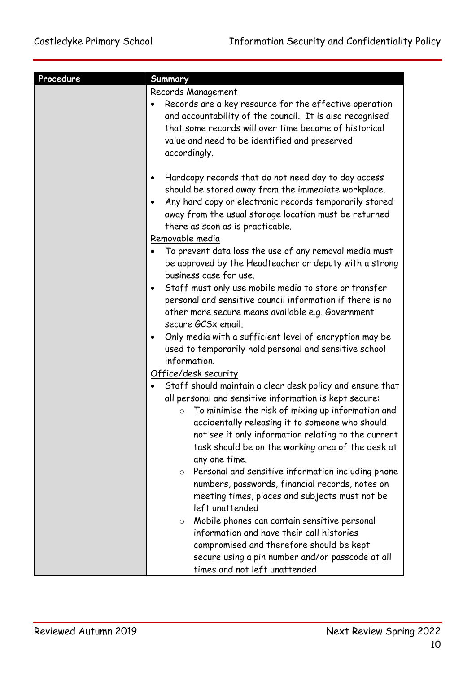| Procedure | Summary                                                                                                                                                                                                                                                                                                                                                  |
|-----------|----------------------------------------------------------------------------------------------------------------------------------------------------------------------------------------------------------------------------------------------------------------------------------------------------------------------------------------------------------|
|           | Records Management<br>Records are a key resource for the effective operation<br>and accountability of the council. It is also recognised<br>that some records will over time become of historical<br>value and need to be identified and preserved<br>accordingly.                                                                                       |
|           | Hardcopy records that do not need day to day access<br>$\bullet$<br>should be stored away from the immediate workplace.<br>Any hard copy or electronic records temporarily stored<br>$\bullet$<br>away from the usual storage location must be returned<br>there as soon as is practicable.                                                              |
|           | Removable media<br>To prevent data loss the use of any removal media must<br>be approved by the Headteacher or deputy with a strong<br>business case for use.<br>Staff must only use mobile media to store or transfer<br>$\bullet$                                                                                                                      |
|           | personal and sensitive council information if there is no<br>other more secure means available e.g. Government<br>secure GCSx email.<br>Only media with a sufficient level of encryption may be<br>$\bullet$                                                                                                                                             |
|           | used to temporarily hold personal and sensitive school<br>information.<br><u>Office/desk security</u>                                                                                                                                                                                                                                                    |
|           | Staff should maintain a clear desk policy and ensure that<br>all personal and sensitive information is kept secure:<br>To minimise the risk of mixing up information and<br>accidentally releasing it to someone who should<br>not see it only information relating to the current<br>task should be on the working area of the desk at<br>any one time. |
|           | Personal and sensitive information including phone<br>$\circ$<br>numbers, passwords, financial records, notes on<br>meeting times, places and subjects must not be<br>left unattended                                                                                                                                                                    |
|           | Mobile phones can contain sensitive personal<br>$\circ$<br>information and have their call histories<br>compromised and therefore should be kept<br>secure using a pin number and/or passcode at all<br>times and not left unattended                                                                                                                    |